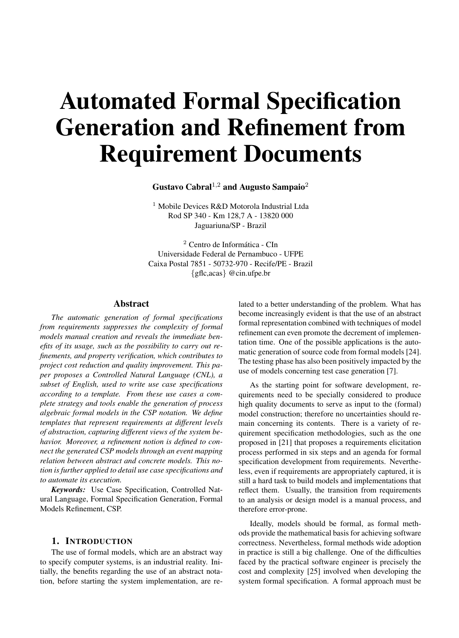# Automated Formal Specification Generation and Refinement from Requirement Documents

Gustavo Cabral<sup>1,2</sup> and Augusto Sampaio<sup>2</sup>

<sup>1</sup> Mobile Devices R&D Motorola Industrial Ltda Rod SP 340 - Km 128,7 A - 13820 000 Jaguariuna/SP - Brazil

<sup>2</sup> Centro de Informatica - CIn ´ Universidade Federal de Pernambuco - UFPE Caixa Postal 7851 - 50732-970 - Recife/PE - Brazil {gflc,acas} @cin.ufpe.br

# Abstract

*The automatic generation of formal specifications from requirements suppresses the complexity of formal models manual creation and reveals the immediate benefits of its usage, such as the possibility to carry out refinements, and property verification, which contributes to project cost reduction and quality improvement. This paper proposes a Controlled Natural Language (CNL), a subset of English, used to write use case specifications according to a template. From these use cases a complete strategy and tools enable the generation of process algebraic formal models in the CSP notation. We define templates that represent requirements at different levels of abstraction, capturing different views of the system behavior. Moreover, a refinement notion is defined to connect the generated CSP models through an event mapping relation between abstract and concrete models. This notion is further applied to detail use case specifications and to automate its execution.*

*Keywords:* Use Case Specification, Controlled Natural Language, Formal Specification Generation, Formal Models Refinement, CSP.

#### 1. INTRODUCTION

The use of formal models, which are an abstract way to specify computer systems, is an industrial reality. Initially, the benefits regarding the use of an abstract notation, before starting the system implementation, are related to a better understanding of the problem. What has become increasingly evident is that the use of an abstract formal representation combined with techniques of model refinement can even promote the decrement of implementation time. One of the possible applications is the automatic generation of source code from formal models [24]. The testing phase has also been positively impacted by the use of models concerning test case generation [7].

As the starting point for software development, requirements need to be specially considered to produce high quality documents to serve as input to the (formal) model construction; therefore no uncertainties should remain concerning its contents. There is a variety of requirement specification methodologies, such as the one proposed in [21] that proposes a requirements elicitation process performed in six steps and an agenda for formal specification development from requirements. Nevertheless, even if requirements are appropriately captured, it is still a hard task to build models and implementations that reflect them. Usually, the transition from requirements to an analysis or design model is a manual process, and therefore error-prone.

Ideally, models should be formal, as formal methods provide the mathematical basis for achieving software correctness. Nevertheless, formal methods wide adoption in practice is still a big challenge. One of the difficulties faced by the practical software engineer is precisely the cost and complexity [25] involved when developing the system formal specification. A formal approach must be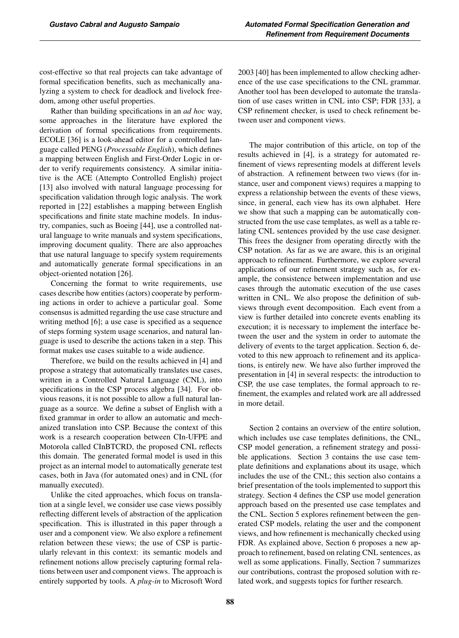cost-effective so that real projects can take advantage of formal specification benefits, such as mechanically analyzing a system to check for deadlock and livelock freedom, among other useful properties.

Rather than building specifications in an *ad hoc* way, some approaches in the literature have explored the derivation of formal specifications from requirements. ECOLE [36] is a look-ahead editor for a controlled language called PENG (*Processable English*), which defines a mapping between English and First-Order Logic in order to verify requirements consistency. A similar initiative is the ACE (Attempto Controlled English) project [13] also involved with natural language processing for specification validation through logic analysis. The work reported in [22] establishes a mapping between English specifications and finite state machine models. In industry, companies, such as Boeing [44], use a controlled natural language to write manuals and system specifications, improving document quality. There are also approaches that use natural language to specify system requirements and automatically generate formal specifications in an object-oriented notation [26].

Concerning the format to write requirements, use cases describe how entities (actors) cooperate by performing actions in order to achieve a particular goal. Some consensus is admitted regarding the use case structure and writing method [6]; a use case is specified as a sequence of steps forming system usage scenarios, and natural language is used to describe the actions taken in a step. This format makes use cases suitable to a wide audience.

Therefore, we build on the results achieved in [4] and propose a strategy that automatically translates use cases, written in a Controlled Natural Language (CNL), into specifications in the CSP process algebra [34]. For obvious reasons, it is not possible to allow a full natural language as a source. We define a subset of English with a fixed grammar in order to allow an automatic and mechanized translation into CSP. Because the context of this work is a research cooperation between CIn-UFPE and Motorola called CInBTCRD, the proposed CNL reflects this domain. The generated formal model is used in this project as an internal model to automatically generate test cases, both in Java (for automated ones) and in CNL (for manually executed).

Unlike the cited approaches, which focus on translation at a single level, we consider use case views possibly reflecting different levels of abstraction of the application specification. This is illustrated in this paper through a user and a component view. We also explore a refinement relation between these views; the use of CSP is particularly relevant in this context: its semantic models and refinement notions allow precisely capturing formal relations between user and component views. The approach is entirely supported by tools. A *plug-in* to Microsoft Word 2003 [40] has been implemented to allow checking adherence of the use case specifications to the CNL grammar. Another tool has been developed to automate the translation of use cases written in CNL into CSP; FDR [33], a CSP refinement checker, is used to check refinement between user and component views.

The major contribution of this article, on top of the results achieved in [4], is a strategy for automated refinement of views representing models at different levels of abstraction. A refinement between two views (for instance, user and component views) requires a mapping to express a relationship between the events of these views, since, in general, each view has its own alphabet. Here we show that such a mapping can be automatically constructed from the use case templates, as well as a table relating CNL sentences provided by the use case designer. This frees the designer from operating directly with the CSP notation. As far as we are aware, this is an original approach to refinement. Furthermore, we explore several applications of our refinement strategy such as, for example, the consistence between implementation and use cases through the automatic execution of the use cases written in CNL. We also propose the definition of subviews through event decomposition. Each event from a view is further detailed into concrete events enabling its execution; it is necessary to implement the interface between the user and the system in order to automate the delivery of events to the target application. Section 6, devoted to this new approach to refinement and its applications, is entirely new. We have also further improved the presentation in [4] in several respects: the introduction to CSP, the use case templates, the formal approach to refinement, the examples and related work are all addressed in more detail.

Section 2 contains an overview of the entire solution, which includes use case templates definitions, the CNL, CSP model generation, a refinement strategy and possible applications. Section 3 contains the use case template definitions and explanations about its usage, which includes the use of the CNL; this section also contains a brief presentation of the tools implemented to support this strategy. Section 4 defines the CSP use model generation approach based on the presented use case templates and the CNL. Section 5 explores refinement between the generated CSP models, relating the user and the component views, and how refinement is mechanically checked using FDR. As explained above, Section 6 proposes a new approach to refinement, based on relating CNL sentences, as well as some applications. Finally, Section 7 summarizes our contributions, contrast the proposed solution with related work, and suggests topics for further research.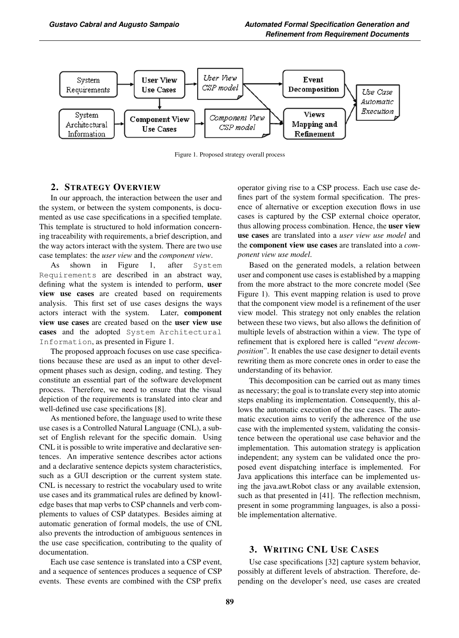

Figure 1. Proposed strategy overall process

# 2. STRATEGY OVERVIEW

In our approach, the interaction between the user and the system, or between the system components, is documented as use case specifications in a specified template. This template is structured to hold information concerning traceability with requirements, a brief description, and the way actors interact with the system. There are two use case templates: the *user view* and the *component view*.

As shown in Figure 1, after System Requirements are described in an abstract way, defining what the system is intended to perform, user view use cases are created based on requirements analysis. This first set of use cases designs the ways actors interact with the system. Later, component view use cases are created based on the user view use cases and the adopted System Architectural Information, as presented in Figure 1.

The proposed approach focuses on use case specifications because these are used as an input to other development phases such as design, coding, and testing. They constitute an essential part of the software development process. Therefore, we need to ensure that the visual depiction of the requirements is translated into clear and well-defined use case specifications [8].

As mentioned before, the language used to write these use cases is a Controlled Natural Language (CNL), a subset of English relevant for the specific domain. Using CNL it is possible to write imperative and declarative sentences. An imperative sentence describes actor actions and a declarative sentence depicts system characteristics, such as a GUI description or the current system state. CNL is necessary to restrict the vocabulary used to write use cases and its grammatical rules are defined by knowledge bases that map verbs to CSP channels and verb complements to values of CSP datatypes. Besides aiming at automatic generation of formal models, the use of CNL also prevents the introduction of ambiguous sentences in the use case specification, contributing to the quality of documentation.

Each use case sentence is translated into a CSP event, and a sequence of sentences produces a sequence of CSP events. These events are combined with the CSP prefix operator giving rise to a CSP process. Each use case defines part of the system formal specification. The presence of alternative or exception execution flows in use cases is captured by the CSP external choice operator, thus allowing process combination. Hence, the user view use cases are translated into a *user view use model* and the component view use cases are translated into a *component view use model*.

Based on the generated models, a relation between user and component use cases is established by a mapping from the more abstract to the more concrete model (See Figure 1). This event mapping relation is used to prove that the component view model is a refinement of the user view model. This strategy not only enables the relation between these two views, but also allows the definition of multiple levels of abstraction within a view. The type of refinement that is explored here is called "*event decomposition*". It enables the use case designer to detail events rewriting them as more concrete ones in order to ease the understanding of its behavior.

This decomposition can be carried out as many times as necessary; the goal is to translate every step into atomic steps enabling its implementation. Consequently, this allows the automatic execution of the use cases. The automatic execution aims to verify the adherence of the use case with the implemented system, validating the consistence between the operational use case behavior and the implementation. This automation strategy is application independent; any system can be validated once the proposed event dispatching interface is implemented. For Java applications this interface can be implemented using the java.awt.Robot class or any available extension, such as that presented in [41]. The reflection mechnism, present in some programming languages, is also a possible implementation alternative.

# 3. WRITING CNL USE CASES

Use case specifications [32] capture system behavior, possibly at different levels of abstraction. Therefore, depending on the developer's need, use cases are created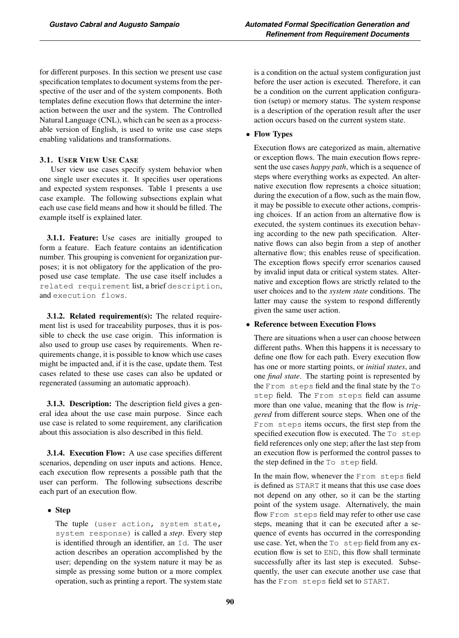for different purposes. In this section we present use case specification templates to document systems from the perspective of the user and of the system components. Both templates define execution flows that determine the interaction between the user and the system. The Controlled Natural Language (CNL), which can be seen as a processable version of English, is used to write use case steps enabling validations and transformations.

# 3.1. USER VIEW USE CASE

User view use cases specify system behavior when one single user executes it. It specifies user operations and expected system responses. Table 1 presents a use case example. The following subsections explain what each use case field means and how it should be filled. The example itself is explained later.

3.1.1. Feature: Use cases are initially grouped to form a feature. Each feature contains an identification number. This grouping is convenient for organization purposes; it is not obligatory for the application of the proposed use case template. The use case itself includes a related requirement list, a brief description, and execution flows.

**3.1.2. Related requirement(s):** The related requirement list is used for traceability purposes, thus it is possible to check the use case origin. This information is also used to group use cases by requirements. When requirements change, it is possible to know which use cases might be impacted and, if it is the case, update them. Test cases related to these use cases can also be updated or regenerated (assuming an automatic approach).

3.1.3. Description: The description field gives a general idea about the use case main purpose. Since each use case is related to some requirement, any clarification about this association is also described in this field.

3.1.4. Execution Flow: A use case specifies different scenarios, depending on user inputs and actions. Hence, each execution flow represents a possible path that the user can perform. The following subsections describe each part of an execution flow.

# • Step

The tuple (user action, system state, system response) is called a *step*. Every step is identified through an identifier, an Id. The user action describes an operation accomplished by the user; depending on the system nature it may be as simple as pressing some button or a more complex operation, such as printing a report. The system state is a condition on the actual system configuration just before the user action is executed. Therefore, it can be a condition on the current application configuration (setup) or memory status. The system response is a description of the operation result after the user action occurs based on the current system state.

# • Flow Types

Execution flows are categorized as main, alternative or exception flows. The main execution flows represent the use cases *happy path*, which is a sequence of steps where everything works as expected. An alternative execution flow represents a choice situation; during the execution of a flow, such as the main flow, it may be possible to execute other actions, comprising choices. If an action from an alternative flow is executed, the system continues its execution behaving according to the new path specification. Alternative flows can also begin from a step of another alternative flow; this enables reuse of specification. The exception flows specify error scenarios caused by invalid input data or critical system states. Alternative and exception flows are strictly related to the user choices and to the *system state* conditions. The latter may cause the system to respond differently given the same user action.

# • Reference between Execution Flows

There are situations when a user can choose between different paths. When this happens it is necessary to define one flow for each path. Every execution flow has one or more starting points, or *initial states*, and one *final state*. The starting point is represented by the From steps field and the final state by the To step field. The From steps field can assume more than one value, meaning that the flow is *triggered* from different source steps. When one of the From steps items occurs, the first step from the specified execution flow is executed. The To step field references only one step; after the last step from an execution flow is performed the control passes to the step defined in the To step field.

In the main flow, whenever the From steps field is defined as START it means that this use case does not depend on any other, so it can be the starting point of the system usage. Alternatively, the main flow From steps field may refer to other use case steps, meaning that it can be executed after a sequence of events has occurred in the corresponding use case. Yet, when the To step field from any execution flow is set to END, this flow shall terminate successfully after its last step is executed. Subsequently, the user can execute another use case that has the From steps field set to START.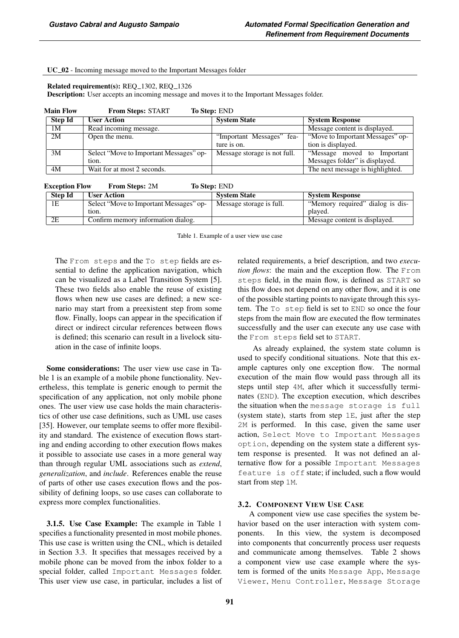#### UC\_02 - Incoming message moved to the Important Messages folder

#### Related requirement(s): REQ\_1302, REQ\_1326

Description: User accepts an incoming message and moves it to the Important Messages folder.

| <b>Main Flow</b> | <b>From Steps: START</b><br><b>To Step: END</b> |                              |                                  |  |
|------------------|-------------------------------------------------|------------------------------|----------------------------------|--|
| <b>Step Id</b>   | <b>User Action</b>                              | <b>System State</b>          | <b>System Response</b>           |  |
| 1M               | Read incoming message.                          |                              | Message content is displayed.    |  |
| 2M               | Open the menu.                                  | "Important Messages" fea-    | "Move to Important Messages" op- |  |
|                  |                                                 | ture is on.                  | tion is displayed.               |  |
| 3M               | Select "Move to Important Messages" op-         | Message storage is not full. | "Message moved to Important      |  |
|                  | tion.                                           |                              | Messages folder" is displayed.   |  |
| 4M               | Wait for at most 2 seconds.                     |                              | The next message is highlighted. |  |

| <b>Exception Flow</b> | <b>From Steps: 2M</b> | To Step: END |
|-----------------------|-----------------------|--------------|
|-----------------------|-----------------------|--------------|

| <b>Step Id</b> | <b>User Action</b>                      | <b>System State</b>      | <b>System Response</b>           |
|----------------|-----------------------------------------|--------------------------|----------------------------------|
| 1E             | Select "Move to Important Messages" op- | Message storage is full. | "Memory required" dialog is dis- |
|                | tion.                                   |                          | plaved.                          |
| 2E             | Confirm memory information dialog.      |                          | Message content is displayed.    |

Table 1. Example of a user view use case

The From steps and the To step fields are essential to define the application navigation, which can be visualized as a Label Transition System [5]. These two fields also enable the reuse of existing flows when new use cases are defined; a new scenario may start from a preexistent step from some flow. Finally, loops can appear in the specification if direct or indirect circular references between flows is defined; this scenario can result in a livelock situation in the case of infinite loops.

Some considerations: The user view use case in Table 1 is an example of a mobile phone functionality. Nevertheless, this template is generic enough to permit the specification of any application, not only mobile phone ones. The user view use case holds the main characteristics of other use case definitions, such as UML use cases [35]. However, our template seems to offer more flexibility and standard. The existence of execution flows starting and ending according to other execution flows makes it possible to associate use cases in a more general way than through regular UML associations such as *extend*, *generalization*, and *include*. References enable the reuse of parts of other use cases execution flows and the possibility of defining loops, so use cases can collaborate to express more complex functionalities.

3.1.5. Use Case Example: The example in Table 1 specifies a functionality presented in most mobile phones. This use case is written using the CNL, which is detailed in Section 3.3. It specifies that messages received by a mobile phone can be moved from the inbox folder to a special folder, called Important Messages folder. This user view use case, in particular, includes a list of related requirements, a brief description, and two *execution flows*: the main and the exception flow. The From steps field, in the main flow, is defined as START so this flow does not depend on any other flow, and it is one of the possible starting points to navigate through this system. The To step field is set to END so once the four steps from the main flow are executed the flow terminates successfully and the user can execute any use case with the From steps field set to START.

As already explained, the system state column is used to specify conditional situations. Note that this example captures only one exception flow. The normal execution of the main flow would pass through all its steps until step 4M, after which it successfully terminates (END). The exception execution, which describes the situation when the message storage is full (system state), starts from step 1E, just after the step 2M is performed. In this case, given the same user action, Select Move to Important Messages option, depending on the system state a different system response is presented. It was not defined an alternative flow for a possible Important Messages feature is off state; if included, such a flow would start from step 1M.

# 3.2. COMPONENT VIEW USE CASE

A component view use case specifies the system behavior based on the user interaction with system components. In this view, the system is decomposed into components that concurrently process user requests and communicate among themselves. Table 2 shows a component view use case example where the system is formed of the units Message App, Message Viewer, Menu Controller, Message Storage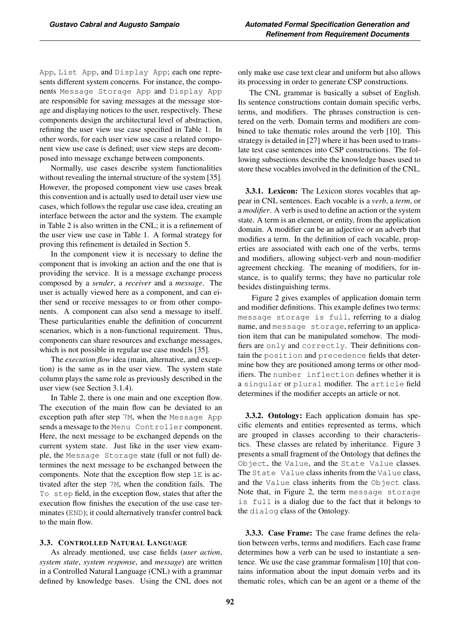App, List App, and Display App; each one represents different system concerns. For instance, the components Message Storage App and Display App are responsible for saving messages at the message storage and displaying notices to the user, respectively. These components design the architectural level of abstraction, refining the user view use case specified in Table 1. In other words, for each user view use case a related component view use case is defined; user view steps are decomposed into message exchange between components.

Normally, use cases describe system functionalities without revealing the internal structure of the system [35]. However, the proposed component view use cases break this convention and is actually used to detail user view use cases, which follows the regular use case idea, creating an interface between the actor and the system. The example in Table 2 is also written in the CNL; it is a refinement of the user view use case in Table 1. A formal strategy for proving this refinement is detailed in Section 5.

In the component view it is necessary to define the component that is invoking an action and the one that is providing the service. It is a message exchange process composed by a *sender*, a *receiver* and a *message*. The user is actually viewed here as a component, and can either send or receive messages to or from other components. A component can also send a message to itself. These particularities enable the definition of concurrent scenarios, which is a non-functional requirement. Thus, components can share resources and exchange messages, which is not possible in regular use case models [35].

The *execution flow* idea (main, alternative, and exception) is the same as in the user view. The system state column plays the same role as previously described in the user view (see Section 3.1.4).

In Table 2, there is one main and one exception flow. The execution of the main flow can be deviated to an exception path after step 7M, when the Message App sends a message to the Menu Controller component. Here, the next message to be exchanged depends on the current system state. Just like in the user view example, the Message Storage state (full or not full) determines the next message to be exchanged between the components. Note that the exception flow step 1E is activated after the step 7M, when the condition fails. The To step field, in the exception flow, states that after the execution flow finishes the execution of the use case terminates (END); it could alternatively transfer control back to the main flow.

# 3.3. CONTROLLED NATURAL LANGUAGE

As already mentioned, use case fields (*user action*, *system state*, *system response*, and *message*) are written in a Controlled Natural Language (CNL) with a grammar defined by knowledge bases. Using the CNL does not only make use case text clear and uniform but also allows its processing in order to generate CSP constructions.

The CNL grammar is basically a subset of English. Its sentence constructions contain domain specific verbs, terms, and modifiers. The phrases construction is centered on the verb. Domain terms and modifiers are combined to take thematic roles around the verb [10]. This strategy is detailed in [27] where it has been used to translate test case sentences into CSP constructions. The following subsections describe the knowledge bases used to store these vocables involved in the definition of the CNL.

3.3.1. Lexicon: The Lexicon stores vocables that appear in CNL sentences. Each vocable is a *verb*, a *term*, or a *modifier*. A verb is used to define an action or the system state. A term is an element, or entity, from the application domain. A modifier can be an adjective or an adverb that modifies a term. In the definition of each vocable, properties are associated with each one of the verbs, terms and modifiers, allowing subject-verb and noun-modifier agreement checking. The meaning of modifiers, for instance, is to qualify terms; they have no particular role besides distinguishing terms.

Figure 2 gives examples of application domain term and modifier definitions. This example defines two terms: message storage is full, referring to a dialog name, and message storage, referring to an application item that can be manipulated somehow. The modifiers are only and correctly. Their definitions contain the position and precedence fields that determine how they are positioned among terms or other modifiers. The number inflection defines whether it is a singular or plural modifier. The article field determines if the modifier accepts an article or not.

3.3.2. Ontology: Each application domain has specific elements and entities represented as terms, which are grouped in classes according to their characteristics. These classes are related by inheritance. Figure 3 presents a small fragment of the Ontology that defines the Object, the Value, and the State Value classes. The State Value class inherits from the Value class, and the Value class inherits from the Object class. Note that, in Figure 2, the term message storage is full is a dialog due to the fact that it belongs to the dialog class of the Ontology.

3.3.3. Case Frame: The case frame defines the relation between verbs, terms and modifiers. Each case frame determines how a verb can be used to instantiate a sentence. We use the case grammar formalism [10] that contains information about the input domain verbs and its thematic roles, which can be an agent or a theme of the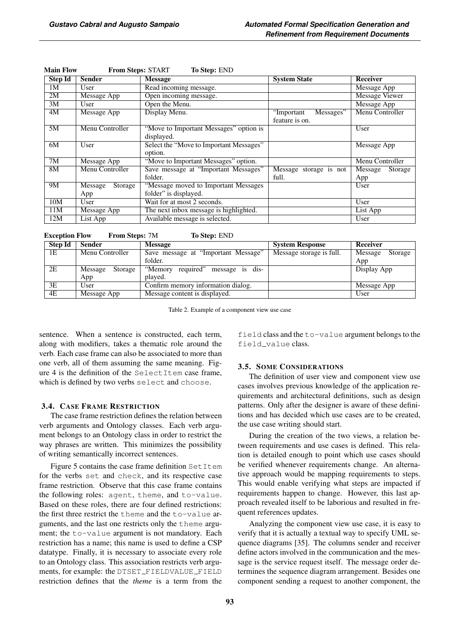| <b>Step Id</b> | <b>Sender</b>      | <b>Message</b>                          | <b>System State</b>      | <b>Receiver</b>    |
|----------------|--------------------|-----------------------------------------|--------------------------|--------------------|
| 1M             | User               | Read incoming message.                  |                          | Message App        |
| 2M             | Message App        | Open incoming message.                  |                          | Message Viewer     |
| 3M             | User               | Open the Menu.                          |                          | Message App        |
| 4M             | Message App        | Display Menu.                           | Messages"<br>"Important" | Menu Controller    |
|                |                    |                                         | feature is on.           |                    |
| 5M             | Menu Controller    | "Move to Important Messages" option is  |                          | User               |
|                |                    | displayed.                              |                          |                    |
| 6M             | User               | Select the "Move to Important Messages" |                          | Message App        |
|                |                    | option.                                 |                          |                    |
| 7M             | Message App        | "Move to Important Messages" option.    |                          | Menu Controller    |
| 8M             | Menu Controller    | Save message at "Important Messages"    | Message storage is not   | Message<br>Storage |
|                |                    | folder.                                 | full.                    | App                |
| 9M             | Message<br>Storage | "Message moved to Important Messages    |                          | User               |
|                | App                | folder" is displayed.                   |                          |                    |
| 10M            | User               | Wait for at most 2 seconds.             |                          | User               |
| 11M            | Message App        | The next inbox message is highlighted.  |                          | List App           |
| 12M            | List App           | Available message is selected.          |                          | User               |

| <b>Main Flow</b> | <b>From Steps: START</b> | <b>To Step: END</b> |
|------------------|--------------------------|---------------------|
|------------------|--------------------------|---------------------|

Exception Flow From Steps: 7M To Step: END

| Step Id | Sender             | <b>Message</b>                           | <b>System Response</b>   | Receiver           |
|---------|--------------------|------------------------------------------|--------------------------|--------------------|
| 1E      | Menu Controller    | Save message at "Important Message"      | Message storage is full. | Message<br>Storage |
|         |                    | folder.                                  |                          | App                |
| 2E      | Message<br>Storage | required"<br>"Memory"<br>message is dis- |                          | Display App        |
|         | App                | plaved.                                  |                          |                    |
| 3E      | User               | Confirm memory information dialog.       |                          | Message App        |
| 4E      | Message App        | Message content is displayed.            |                          | User               |

Table 2. Example of a component view use case

sentence. When a sentence is constructed, each term, along with modifiers, takes a thematic role around the verb. Each case frame can also be associated to more than one verb, all of them assuming the same meaning. Figure 4 is the definition of the SelectItem case frame, which is defined by two verbs select and choose.

#### 3.4. CASE FRAME RESTRICTION

The case frame restriction defines the relation between verb arguments and Ontology classes. Each verb argument belongs to an Ontology class in order to restrict the way phrases are written. This minimizes the possibility of writing semantically incorrect sentences.

Figure 5 contains the case frame definition SetItem for the verbs set and check, and its respective case frame restriction. Observe that this case frame contains the following roles: agent, theme, and to-value. Based on these roles, there are four defined restrictions: the first three restrict the theme and the to-value arguments, and the last one restricts only the theme argument; the to-value argument is not mandatory. Each restriction has a name; this name is used to define a CSP datatype. Finally, it is necessary to associate every role to an Ontology class. This association restricts verb arguments, for example: the DTSET\_FIELDVALUE\_FIELD restriction defines that the *theme* is a term from the field class and the to-value argument belongs to the field\_value class.

#### 3.5. SOME CONSIDERATIONS

The definition of user view and component view use cases involves previous knowledge of the application requirements and architectural definitions, such as design patterns. Only after the designer is aware of these definitions and has decided which use cases are to be created, the use case writing should start.

During the creation of the two views, a relation between requirements and use cases is defined. This relation is detailed enough to point which use cases should be verified whenever requirements change. An alternative approach would be mapping requirements to steps. This would enable verifying what steps are impacted if requirements happen to change. However, this last approach revealed itself to be laborious and resulted in frequent references updates.

Analyzing the component view use case, it is easy to verify that it is actually a textual way to specify UML sequence diagrams [35]. The columns sender and receiver define actors involved in the communication and the message is the service request itself. The message order determines the sequence diagram arrangement. Besides one component sending a request to another component, the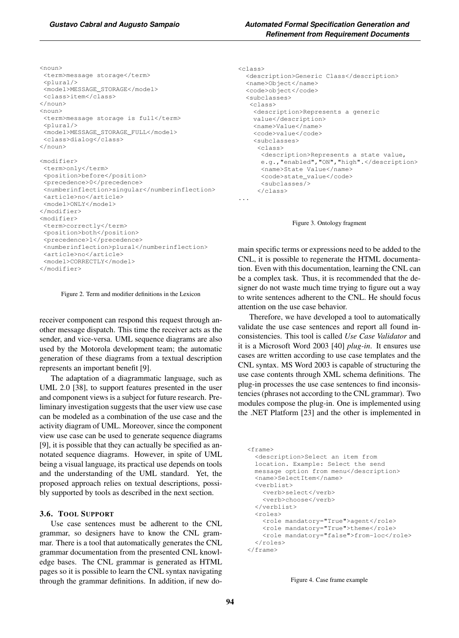```
<noun>
<term>message storage</term>
 <plural/><model>MESSAGE_STORAGE</model>
<class>item</class>
</noun>
\langlenoun\rangle<term>message storage is full</term>
 <plural/><model>MESSAGE_STORAGE_FULL</model>
 <class>dialog</class>
</noun>
<modifier>
<term>only</term>
 <position>before</position>
 <precedence>0</precedence>
<numberinflection>singular</numberinflection>
<article>no</article>
 <model>ONLY</model>
</modifier>
<modifier>
<term>correctly</term>
 <position>both</position>
```
<numberinflection>plural</numberinflection> <article>no</article> <model>CORRECTLY</model> </modifier>

<precedence>1</precedence>

Figure 2. Term and modifier definitions in the Lexicon

receiver component can respond this request through another message dispatch. This time the receiver acts as the sender, and vice-versa. UML sequence diagrams are also used by the Motorola development team; the automatic generation of these diagrams from a textual description represents an important benefit [9].

The adaptation of a diagrammatic language, such as UML 2.0 [38], to support features presented in the user and component views is a subject for future research. Preliminary investigation suggests that the user view use case can be modeled as a combination of the use case and the activity diagram of UML. Moreover, since the component view use case can be used to generate sequence diagrams [9], it is possible that they can actually be specified as annotated sequence diagrams. However, in spite of UML being a visual language, its practical use depends on tools and the understanding of the UML standard. Yet, the proposed approach relies on textual descriptions, possibly supported by tools as described in the next section.

#### 3.6. TOOL SUPPORT

Use case sentences must be adherent to the CNL grammar, so designers have to know the CNL grammar. There is a tool that automatically generates the CNL grammar documentation from the presented CNL knowledge bases. The CNL grammar is generated as HTML pages so it is possible to learn the CNL syntax navigating through the grammar definitions. In addition, if new do-

```
<class>
  <description>Generic Class</description>
  <name>Object</name>
 <code>object</code>
  <subclasses>
   <class>
    <description>Represents a generic
    value</description>
    <name>Value</name>
    <code>value</code>
    <subclasses>
     <class>
      <description>Represents a state value,
      e.g.,"enabled","ON","high".</description>
      <name>State Value</name>
      <code>state_value</code>
      <subclasses/>
     </class>
...
```
Figure 3. Ontology fragment

main specific terms or expressions need to be added to the CNL, it is possible to regenerate the HTML documentation. Even with this documentation, learning the CNL can be a complex task. Thus, it is recommended that the designer do not waste much time trying to figure out a way to write sentences adherent to the CNL. He should focus attention on the use case behavior.

Therefore, we have developed a tool to automatically validate the use case sentences and report all found inconsistencies. This tool is called *Use Case Validator* and it is a Microsoft Word 2003 [40] *plug-in*. It ensures use cases are written according to use case templates and the CNL syntax. MS Word 2003 is capable of structuring the use case contents through XML schema definitions. The plug-in processes the use case sentences to find inconsistencies (phrases not according to the CNL grammar). Two modules compose the plug-in. One is implemented using the .NET Platform [23] and the other is implemented in

```
<frame>
  <description>Select an item from
 location. Example: Select the send
 message option from menu</description>
 <name>SelectItem</name>
 <verblist>
    <verb>select</verb>
    <verb>choose</verb>
 </verblist>
  <roles>
   <role mandatory="True">agent</role>
   <role mandatory="True">theme</role>
    <role mandatory="false">from-loc</role>
 </roles>
</frame>
```
Figure 4. Case frame example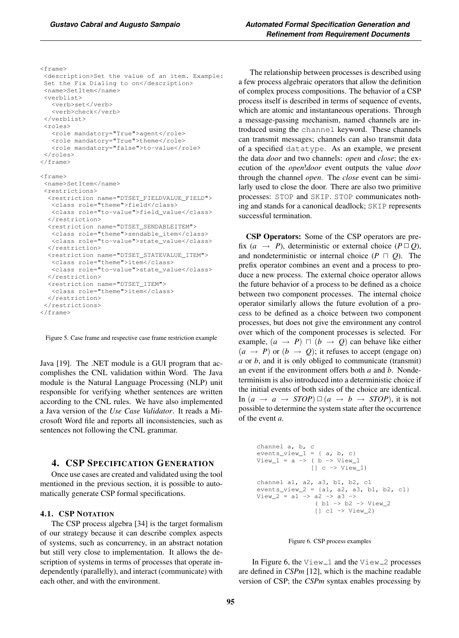<frame>

<description>Set the value of an item. Example: Set the Fix Dialing to on</description> <name>SetItem</name> <verblist> <verb>set</verb> <verb>check</verb> </verblist> <roles> <role mandatory="True">agent</role> <role mandatory="True">theme</role> <role mandatory="false">to-value</role> </roles> </frame> <frame> <name>SetItem</name> <restrictions> <restriction name="DTSET\_FIELDVALUE\_FIELD"> <class role="theme">field</class> <class role="to-value">field\_value</class> </restriction> <restriction name="DTSET\_SENDABLEITEM"> <class role="theme">sendable\_item</class> <class role="to-value">state\_value</class> </restriction> <restriction name="DTSET\_STATEVALUE\_ITEM"> <class role="theme">item</class> <class role="to-value">state\_value</class> </restriction> <restriction name="DTSET\_ITEM"> <class role="theme">item</class>

```
</restriction>
 </restrictions>
</frame>
```
Figure 5. Case frame and respective case frame restriction example

Java [19]. The .NET module is a GUI program that accomplishes the CNL validation within Word. The Java module is the Natural Language Processing (NLP) unit responsible for verifying whether sentences are written according to the CNL rules. We have also implemented a Java version of the *Use Case Validator*. It reads a Microsoft Word file and reports all inconsistencies, such as sentences not following the CNL grammar.

# 4. CSP SPECIFICATION GENERATION

Once use cases are created and validated using the tool mentioned in the previous section, it is possible to automatically generate CSP formal specifications.

## 4.1. CSP NOTATION

The CSP process algebra [34] is the target formalism of our strategy because it can describe complex aspects of systems, such as concurrency, in an abstract notation but still very close to implementation. It allows the description of systems in terms of processes that operate independently (parallelly), and interact (communicate) with each other, and with the environment.

The relationship between processes is described using a few process algebraic operators that allow the definition of complex process compositions. The behavior of a CSP process itself is described in terms of sequence of events, which are atomic and instantaneous operations. Through a message-passing mechanism, named channels are introduced using the channel keyword. These channels can transmit messages; channels can also transmit data of a specified datatype. As an example, we present the data *door* and two channels: *open* and *close*; the execution of the *open*!*door* event outputs the value *door* through the channel *open*. The *close* event can be similarly used to close the door. There are also two primitive processes: STOP and SKIP. STOP communicates nothing and stands for a canonical deadlock; SKIP represents successful termination.

CSP Operators: Some of the CSP operators are prefix  $(a \rightarrow P)$ , deterministic or external choice  $(P \Box Q)$ , and nondeterministic or internal choice  $(P \sqcap Q)$ . The prefix operator combines an event and a process to produce a new process. The external choice operator allows the future behavior of a process to be defined as a choice between two component processes. The internal choice operator similarly allows the future evolution of a process to be defined as a choice between two component processes, but does not give the environment any control over which of the component processes is selected. For example,  $(a \rightarrow P)$   $\Box$   $(b \rightarrow Q)$  can behave like either  $(a \rightarrow P)$  or  $(b \rightarrow Q)$ ; it refuses to accept (engage on) *a* or *b*, and it is only obliged to communicate (transmit) an event if the environment offers both *a* and *b*. Nondeterminism is also introduced into a deterministic choice if the initial events of both sides of the choice are identical. In  $(a \rightarrow a \rightarrow STOP) \square (a \rightarrow b \rightarrow STOP)$ , it is not possible to determine the system state after the occurrence of the event *a*.

channel a, b, c events\_view\_1 = { a, b, c} View\_1 = a -> ( b -> View\_1 [] c -> View\_1) channel a1, a2, a3, b1, b2, c1 events\_view\_2 = {a1, a2, a3, b1, b2, c1} View\_2 = a1 -> a2 -> a3 -> ( b1 -> b2 -> View\_2 [] c1 -> View\_2)

#### Figure 6. CSP process examples

In Figure 6, the  $View_1$  and the  $View_2$  processes are defined in *CSPm* [12], which is the machine readable version of CSP; the *CSPm* syntax enables processing by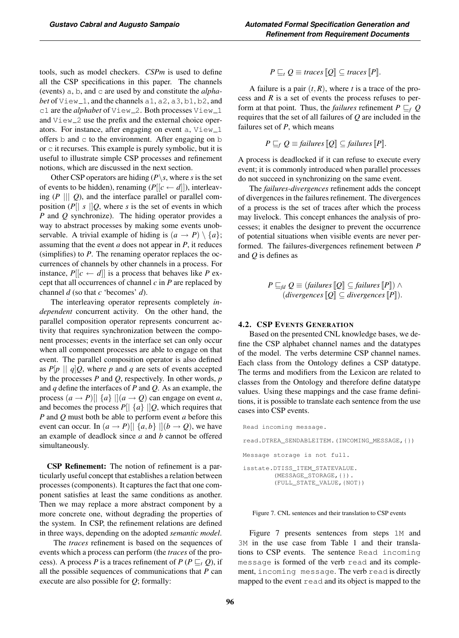tools, such as model checkers. *CSPm* is used to define all the CSP specifications in this paper. The channels (events) a, b, and c are used by and constitute the *alphabet* of  $View_1$ , and the channels  $a1$ ,  $a2$ ,  $a3$ ,  $b1$ ,  $b2$ , and c1 are the *alphabet* of View<sub>-2</sub>. Both processes View<sub>-1</sub> and View<sub>-2</sub> use the prefix and the external choice operators. For instance, after engaging on event  $a$ ,  $View_1$ offers  $b$  and  $c$  to the environment. After engaging on  $b$ or c it recurses. This example is purely symbolic, but it is useful to illustrate simple CSP processes and refinement notions, which are discussed in the next section.

Other CSP operators are hiding  $(P \setminus s$ , where *s* is the set of events to be hidden), renaming  $(P[[c \leftarrow d]])$ , interleaving  $(P \parallel \parallel Q)$ , and the interface parallel or parallel composition  $(P \mid s \mid Q)$ , where *s* is the set of events in which *P* and *Q* synchronize). The hiding operator provides a way to abstract processes by making some events unobservable. A trivial example of hiding is  $(a \rightarrow P) \setminus \{a\};$ assuming that the event *a* does not appear in *P*, it reduces (simplifies) to *P*. The renaming operator replaces the occurrences of channels by other channels in a process. For instance,  $P[[c \leftarrow d]]$  is a process that behaves like *P* except that all occurrences of channel *c* in *P* are replaced by channel *d* (so that *c* 'becomes' *d*).

The interleaving operator represents completely *independent* concurrent activity. On the other hand, the parallel composition operator represents concurrent activity that requires synchronization between the component processes; events in the interface set can only occur when all component processes are able to engage on that event. The parallel composition operator is also defined as  $P[p \mid q]Q$ , where p and q are sets of events accepted by the processes *P* and *Q*, respectively. In other words, *p* and *q* define the interfaces of *P* and *Q*. As an example, the process  $(a \rightarrow P)[\{a\}][(a \rightarrow Q)$  can engage on event *a*, and becomes the process  $P[| \{a\} |]Q$ , which requires that *P* and *Q* must both be able to perform event *a* before this event can occur. In  $(a \rightarrow P)$ [ $\{a, b\}$ ] $\{b \rightarrow Q\}$ , we have an example of deadlock since *a* and *b* cannot be offered simultaneously.

CSP Refinement: The notion of refinement is a particularly useful concept that establishes a relation between processes (components). It captures the fact that one component satisfies at least the same conditions as another. Then we may replace a more abstract component by a more concrete one, without degrading the properties of the system. In CSP, the refinement relations are defined in three ways, depending on the adopted *semantic model*.

The *traces* refinement is based on the sequences of events which a process can perform (the *traces* of the process). A process *P* is a traces refinement of  $P(P \sqsubseteq_t Q)$ , if all the possible sequences of communications that *P* can execute are also possible for *Q*; formally:

$$
P \sqsubseteq_t Q \equiv \text{traces} [Q] \subseteq \text{traces} [P].
$$

A failure is a pair  $(t, R)$ , where *t* is a trace of the process and *R* is a set of events the process refuses to perform at that point. Thus, the *failures* refinement  $P \sqsubseteq_f Q$ requires that the set of all failures of *Q* are included in the failures set of *P*, which means

$$
P \sqsubseteq_f Q \equiv
$$
 failures  $[Q] \subseteq$  failures  $[P]$ .

A process is deadlocked if it can refuse to execute every event; it is commonly introduced when parallel processes do not succeed in synchronizing on the same event.

The *failures-divergences* refinement adds the concept of divergences in the failures refinement. The divergences of a process is the set of traces after which the process may livelock. This concept enhances the analysis of processes; it enables the designer to prevent the occurrence of potential situations when visible events are never performed. The failures-divergences refinement between *P* and *Q* is defines as

$$
P \sqsubseteq_{fd} Q \equiv (failures \llbracket Q \rrbracket \subseteq failures \llbracket P \rrbracket) \land (divergences \llbracket Q \rrbracket \subseteq divergences \llbracket P \rrbracket).
$$

#### 4.2. CSP EVENTS GENERATION

Based on the presented CNL knowledge bases, we define the CSP alphabet channel names and the datatypes of the model. The verbs determine CSP channel names. Each class from the Ontology defines a CSP datatype. The terms and modifiers from the Lexicon are related to classes from the Ontology and therefore define datatype values. Using these mappings and the case frame definitions, it is possible to translate each sentence from the use cases into CSP events.

| Read incoming message.                                                                      |
|---------------------------------------------------------------------------------------------|
| read.DTREA SENDABLEITEM.(INCOMING MESSAGE, { })                                             |
| Message storage is not full.                                                                |
| isstate. DTISS ITEM STATEVALUE.<br>$(MESSAGE STORAGE, \{\})$ .<br>(FULL STATE VALUE, {NOT}) |

Figure 7. CNL sentences and their translation to CSP events

Figure 7 presents sentences from steps 1M and 3M in the use case from Table 1 and their translations to CSP events. The sentence Read incoming message is formed of the verb read and its complement, incoming message. The verb read is directly mapped to the event read and its object is mapped to the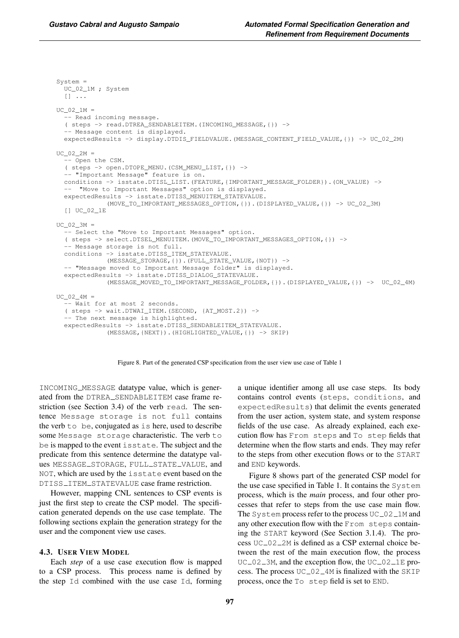System = UC\_02\_1M ; System  $[$ ]  $\ldots$  $UC$  02  $1M =$ - Read incoming message. ( steps -> read.DTREA\_SENDABLEITEM.(INCOMING\_MESSAGE,{}) -> - Message content is displayed. expectedResults -> display.DTDIS\_FIELDVALUE.(MESSAGE\_CONTENT\_FIELD\_VALUE,{}) -> UC\_02\_2M)  $UC_02_2M =$ -- Open the CSM. ( steps -> open.DTOPE\_MENU.(CSM\_MENU\_LIST,{}) -> -- "Important Message" feature is on. conditions -> isstate.DTISL\_LIST.(FEATURE,{IMPORTANT\_MESSAGE\_FOLDER}).(ON\_VALUE) -> - "Move to Important Messages" option is displayed. expectedResults -> isstate.DTISS\_MENUITEM\_STATEVALUE. (MOVE\_TO\_IMPORTANT\_MESSAGES\_OPTION,{}).(DISPLAYED\_VALUE,{}) -> UC\_02\_3M) [] UC\_02\_1E  $UC$  02 3M = - Select the "Move to Important Messages" option. ( steps -> select.DTSEL\_MENUITEM.(MOVE\_TO\_IMPORTANT\_MESSAGES\_OPTION,{}) -> - Message storage is not full. conditions -> isstate.DTISS\_ITEM\_STATEVALUE. (MESSAGE\_STORAGE,{}).(FULL\_STATE\_VALUE,{NOT}) -> -- "Message moved to Important Message folder" is displayed. expectedResults -> isstate.DTISS\_DIALOG\_STATEVALUE. (MESSAGE\_MOVED\_TO\_IMPORTANT\_MESSAGE\_FOLDER,{}).(DISPLAYED\_VALUE,{}) -> UC\_02\_4M)  $UC_02_4M =$ -- Wait for at most 2 seconds. ( steps -> wait.DTWAI\_ITEM.(SECOND, {AT\_MOST.2}) -> -- The next message is highlighted. expectedResults -> isstate.DTISS\_SENDABLEITEM\_STATEVALUE. (MESSAGE,{NEXT}).(HIGHLIGHTED\_VALUE,{}) -> SKIP)



INCOMING MESSAGE datatype value, which is generated from the DTREA SENDABLEITEM case frame restriction (see Section 3.4) of the verb read. The sentence Message storage is not full contains the verb to be, conjugated as is here, used to describe some Message storage characteristic. The verb to be is mapped to the event isstate. The subject and the predicate from this sentence determine the datatype values MESSAGE\_STORAGE, FULL\_STATE\_VALUE, and NOT, which are used by the isstate event based on the DTISS\_ITEM\_STATEVALUE case frame restriction.

However, mapping CNL sentences to CSP events is just the first step to create the CSP model. The specification generated depends on the use case template. The following sections explain the generation strategy for the user and the component view use cases.

## 4.3. USER VIEW MODEL

Each *step* of a use case execution flow is mapped to a CSP process. This process name is defined by the step Id combined with the use case Id, forming a unique identifier among all use case steps. Its body contains control events (steps, conditions, and expectedResults) that delimit the events generated from the user action, system state, and system response fields of the use case. As already explained, each execution flow has From steps and To step fields that determine when the flow starts and ends. They may refer to the steps from other execution flows or to the START and END keywords.

Figure 8 shows part of the generated CSP model for the use case specified in Table 1. It contains the System process, which is the *main* process, and four other processes that refer to steps from the use case main flow. The System process refer to the process  $UC_02_1M$  and any other execution flow with the From steps containing the START keyword (See Section 3.1.4). The process UC\_02\_2M is defined as a CSP external choice between the rest of the main execution flow, the process  $UC_02_3M$ , and the exception flow, the  $UC_02_1E$  process. The process  $UC_02_4M$  is finalized with the SKIP process, once the To step field is set to END.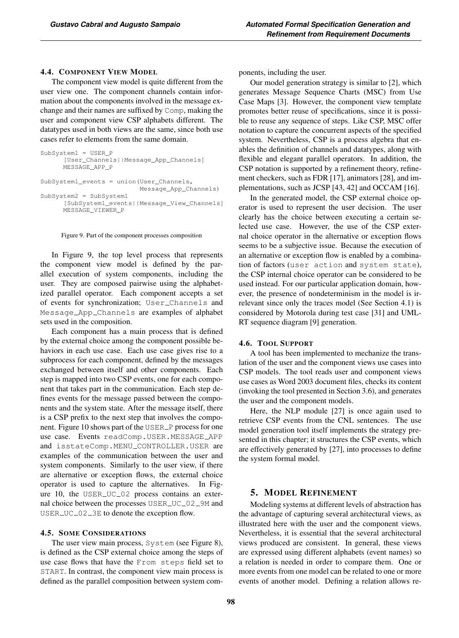## 4.4. COMPONENT VIEW MODEL

The component view model is quite different from the user view one. The component channels contain information about the components involved in the message exchange and their names are suffixed by Comp, making the user and component view CSP alphabets different. The datatypes used in both views are the same, since both use cases refer to elements from the same domain.

```
SubSystem1 = USER_P
      [User_Channels||Message_App_Channels]
     MESSAGE_APP_P
SubSystem1_events = union(User_Channels,
                          Message_App_Channels)
SubSystem2 = SubSystem1
      [SubSystem1_events||Message_View_Channels]
     MESSAGE_VIEWER_P
```
Figure 9. Part of the component processes composition

In Figure 9, the top level process that represents the component view model is defined by the parallel execution of system components, including the user. They are composed pairwise using the alphabetized parallel operator. Each component accepts a set of events for synchronization; User Channels and Message App Channels are examples of alphabet sets used in the composition.

Each component has a main process that is defined by the external choice among the component possible behaviors in each use case. Each use case gives rise to a subprocess for each component, defined by the messages exchanged between itself and other components. Each step is mapped into two CSP events, one for each component that takes part in the communication. Each step defines events for the message passed between the components and the system state. After the message itself, there is a CSP prefix to the next step that involves the component. Figure 10 shows part of the USER P process for one use case. Events readComp.USER.MESSAGE APP and isstateComp.MENU\_CONTROLLER.USER are examples of the communication between the user and system components. Similarly to the user view, if there are alternative or exception flows, the external choice operator is used to capture the alternatives. In Figure 10, the USER\_UC\_02 process contains an external choice between the processes USER\_UC\_02\_9M and USER\_UC\_02\_3E to denote the exception flow.

#### 4.5. SOME CONSIDERATIONS

The user view main process, System (see Figure 8), is defined as the CSP external choice among the steps of use case flows that have the From steps field set to START. In contrast, the component view main process is defined as the parallel composition between system components, including the user.

Our model generation strategy is similar to [2], which generates Message Sequence Charts (MSC) from Use Case Maps [3]. However, the component view template promotes better reuse of specifications, since it is possible to reuse any sequence of steps. Like CSP, MSC offer notation to capture the concurrent aspects of the specified system. Nevertheless, CSP is a process algebra that enables the definition of channels and datatypes, along with flexible and elegant parallel operators. In addition, the CSP notation is supported by a refinement theory, refinement checkers, such as FDR [17], animators [28], and implementations, such as JCSP [43, 42] and OCCAM [16].

In the generated model, the CSP external choice operator is used to represent the user decision. The user clearly has the choice between executing a certain selected use case. However, the use of the CSP external choice operator in the alternative or exception flows seems to be a subjective issue. Because the execution of an alternative or exception flow is enabled by a combination of factors (user action and system state), the CSP internal choice operator can be considered to be used instead. For our particular application domain, however, the presence of nondeterminism in the model is irrelevant since only the traces model (See Section 4.1) is considered by Motorola during test case [31] and UML-RT sequence diagram [9] generation.

#### 4.6. TOOL SUPPORT

A tool has been implemented to mechanize the translation of the user and the component views use cases into CSP models. The tool reads user and component views use cases as Word 2003 document files, checks its content (invoking the tool presented in Section 3.6), and generates the user and the component models.

Here, the NLP module [27] is once again used to retrieve CSP events from the CNL sentences. The use model generation tool itself implements the strategy presented in this chapter; it structures the CSP events, which are effectively generated by [27], into processes to define the system formal model.

# 5. MODEL REFINEMENT

Modeling systems at different levels of abstraction has the advantage of capturing several architectural views, as illustrated here with the user and the component views. Nevertheless, it is essential that the several architectural views produced are consistent. In general, these views are expressed using different alphabets (event names) so a relation is needed in order to compare them. One or more events from one model can be related to one or more events of another model. Defining a relation allows re-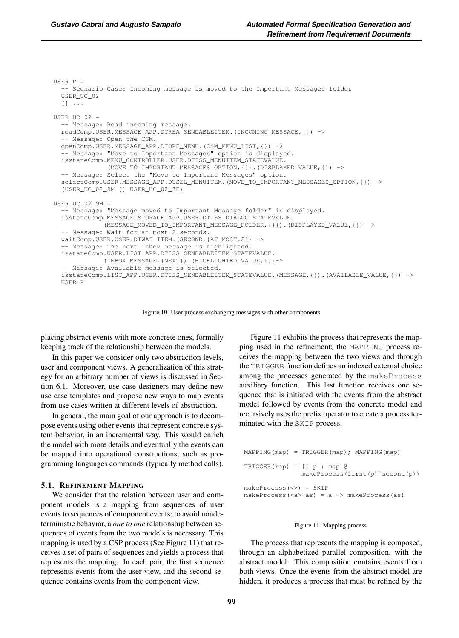```
USER P =-- Scenario Case: Incoming message is moved to the Important Messages folder
 USER_UC_02
  [] ...
USER_UC_02 =-- Message: Read incoming message.
  readComp.USER.MESSAGE_APP.DTREA_SENDABLEITEM.(INCOMING_MESSAGE,{}) ->
  -- Message: Open the CSM.
  openComp.USER.MESSAGE_APP.DTOPE_MENU.(CSM_MENU_LIST,{}) ->
   - Message: "Move to Important Messages" option is displayed.
  isstateComp.MENU_CONTROLLER.USER.DTISS_MENUITEM_STATEVALUE.
              (MOVE_TO_IMPORTANT_MESSAGES_OPTION,{}).(DISPLAYED_VALUE,{}) ->
  -- Message: Select the "Move to Important Messages" option.
  selectComp.USER.MESSAGE_APP.DTSEL_MENUITEM.(MOVE_TO_IMPORTANT_MESSAGES_OPTION,{}) ->
  (USER_UC_02_9M [] USER_UC_02_3E)
USER_UC_02_9M =
  -- Message: "Message moved to Important Message folder" is displayed.
  isstateComp.MESSAGE_STORAGE_APP.USER.DTISS_DIALOG_STATEVALUE.
             (MESSAGE_MOVED_TO_IMPORTANT_MESSAGE_FOLDER,{}}).(DISPLAYED_VALUE,{}) ->
  -- Message: Wait for at most 2 seconds.
  waitComp.USER.USER.DTWAI_ITEM.(SECOND,{AT_MOST.2}) ->
   -- Message: The next inbox message is highlighted.
  isstateComp.USER.LIST_APP.DTISS_SENDABLEITEM_STATEVALUE.
             (INBOX_MESSAGE,{NEXT}).(HIGHLIGHTED_VALUE,{})->
  -- Message: Available message is selected.
  isstateComp.LIST_APP.USER.DTISS_SENDABLEITEM_STATEVALUE.(MESSAGE,{}).(AVAILABLE_VALUE,{}) ->
  USER_P
```
Figure 10. User process exchanging messages with other components

placing abstract events with more concrete ones, formally keeping track of the relationship between the models.

In this paper we consider only two abstraction levels, user and component views. A generalization of this strategy for an arbitrary number of views is discussed in Section 6.1. Moreover, use case designers may define new use case templates and propose new ways to map events from use cases written at different levels of abstraction.

In general, the main goal of our approach is to decompose events using other events that represent concrete system behavior, in an incremental way. This would enrich the model with more details and eventually the events can be mapped into operational constructions, such as programming languages commands (typically method calls).

#### 5.1. REFINEMENT MAPPING

We consider that the relation between user and component models is a mapping from sequences of user events to sequences of component events; to avoid nondeterministic behavior, a *one to one* relationship between sequences of events from the two models is necessary. This mapping is used by a CSP process (See Figure 11) that receives a set of pairs of sequences and yields a process that represents the mapping. In each pair, the first sequence represents events from the user view, and the second sequence contains events from the component view.

Figure 11 exhibits the process that represents the mapping used in the refinement; the MAPPING process receives the mapping between the two views and through the TRIGGER function defines an indexed external choice among the processes generated by the makeProcess auxiliary function. This last function receives one sequence that is initiated with the events from the abstract model followed by events from the concrete model and recursively uses the prefix operator to create a process terminated with the SKIP process.

```
MAPPING(map) = TRIGGER(map); MAPPING(map)
TRIGGER(map) = [] p : map @makeProcess(first(p)ˆsecond(p))
makeProcess(<>) = SKIP
makeProcess(<a>ˆas) = a -> makeProcess(as)
```
#### Figure 11. Mapping process

The process that represents the mapping is composed, through an alphabetized parallel composition, with the abstract model. This composition contains events from both views. Once the events from the abstract model are hidden, it produces a process that must be refined by the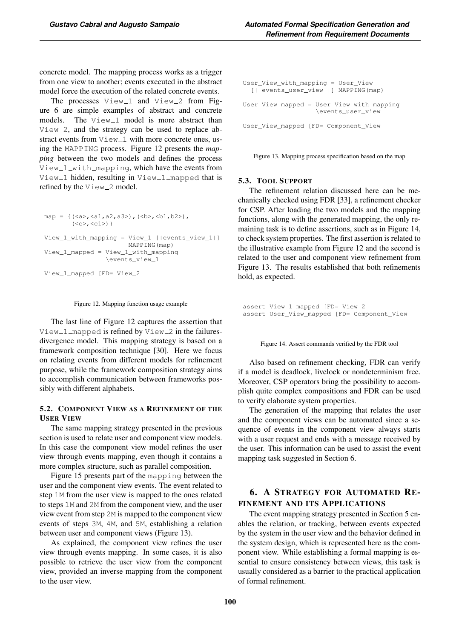concrete model. The mapping process works as a trigger from one view to another; events executed in the abstract model force the execution of the related concrete events.

The processes  $View_1$  and  $View_2$  from Figure 6 are simple examples of abstract and concrete models. The View<sub>-1</sub> model is more abstract than  $View_2$ , and the strategy can be used to replace abstract events from  $\forall i \in \mathbb{W}$  with more concrete ones, using the MAPPING process. Figure 12 presents the *mapping* between the two models and defines the process View\_1\_with\_mapping, which have the events from View\_1 hidden, resulting in View\_1\_mapped that is refined by the View\_2 model.

```
map = {(<a>,<a1,a2,a3>),(<b>,<b1,b2>),
       (<c>, <c1>) }
View_1_with_mapping = View_1 [|events_view_1|]
                      MAPPING(map)
View_1_mapped = View_1_with_mapping
                \events_view_1
View_1_mapped [FD= View_2
```
#### Figure 12. Mapping function usage example

The last line of Figure 12 captures the assertion that View\_1\_mapped is refined by View\_2 in the failuresdivergence model. This mapping strategy is based on a framework composition technique [30]. Here we focus on relating events from different models for refinement purpose, while the framework composition strategy aims to accomplish communication between frameworks possibly with different alphabets.

## 5.2. COMPONENT VIEW AS A REFINEMENT OF THE USER VIEW

The same mapping strategy presented in the previous section is used to relate user and component view models. In this case the component view model refines the user view through events mapping, even though it contains a more complex structure, such as parallel composition.

Figure 15 presents part of the mapping between the user and the component view events. The event related to step 1M from the user view is mapped to the ones related to steps 1M and 2M from the component view, and the user view event from step 2M is mapped to the component view events of steps 3M, 4M, and 5M, establishing a relation between user and component views (Figure 13).

As explained, the component view refines the user view through events mapping. In some cases, it is also possible to retrieve the user view from the component view, provided an inverse mapping from the component to the user view.

```
User_View_with_mapping = User_View
  [| events_user_view |] MAPPING(map)
User_View_mapped = User_View_with_mapping
                   \events_user_view
User_View_mapped [FD= Component_View
```
Figure 13. Mapping process specification based on the map

#### 5.3. TOOL SUPPORT

The refinement relation discussed here can be mechanically checked using FDR [33], a refinement checker for CSP. After loading the two models and the mapping functions, along with the generated mapping, the only remaining task is to define assertions, such as in Figure 14, to check system properties. The first assertion is related to the illustrative example from Figure 12 and the second is related to the user and component view refinement from Figure 13. The results established that both refinements hold, as expected.

assert View\_1\_mapped [FD= View\_2 assert User\_View\_mapped [FD= Component\_View

Figure 14. Assert commands verified by the FDR tool

Also based on refinement checking, FDR can verify if a model is deadlock, livelock or nondeterminism free. Moreover, CSP operators bring the possibility to accomplish quite complex compositions and FDR can be used to verify elaborate system properties.

The generation of the mapping that relates the user and the component views can be automated since a sequence of events in the component view always starts with a user request and ends with a message received by the user. This information can be used to assist the event mapping task suggested in Section 6.

# 6. A STRATEGY FOR AUTOMATED RE-FINEMENT AND ITS APPLICATIONS

The event mapping strategy presented in Section 5 enables the relation, or tracking, between events expected by the system in the user view and the behavior defined in the system design, which is represented here as the component view. While establishing a formal mapping is essential to ensure consistency between views, this task is usually considered as a barrier to the practical application of formal refinement.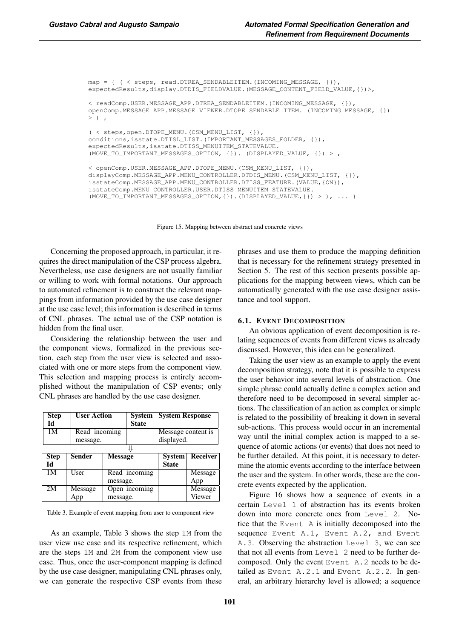```
map = { ( < steps, read.DTREA_SENDABLEITEM.(INCOMING_MESSAGE, {}),
expectedResults,display.DTDIS_FIELDVALUE.(MESSAGE_CONTENT_FIELD_VALUE,{})>,
< readComp.USER.MESSAGE_APP.DTREA_SENDABLEITEM.(INCOMING_MESSAGE, {}),
openComp.MESSAGE_APP.MESSAGE_VIEWER.DTOPE_SENDABLE_ITEM. (INCOMING_MESSAGE, {})
>),
( < steps,open.DTOPE_MENU.(CSM_MENU_LIST, {}),
conditions,isstate.DTISL_LIST.(IMPORTANT_MESSAGES_FOLDER, {}),
expectedResults,isstate.DTISS_MENUITEM_STATEVALUE.
(MOVE_TO_IMPORTANT_MESSAGES_OPTION, {}). (DISPLAYED_VALUE, {}) > ,
< openComp.USER.MESSAGE_APP.DTOPE_MENU.(CSM_MENU_LIST, {}),
displayComp.MESSAGE_APP.MENU_CONTROLLER.DTDIS_MENU.(CSM_MENU_LIST, {}),
isstateComp.MESSAGE_APP.MENU_CONTROLLER.DTISS_FEATURE.(VALUE,{ON}),
isstateComp.MENU_CONTROLLER.USER.DTISS_MENUITEM_STATEVALUE.
(MOVE_TO_IMPORTANT_MESSAGES_OPTION,{}).(DISPLAYED_VALUE,{}) > ), ... }
```
Figure 15. Mapping between abstract and concrete views

Concerning the proposed approach, in particular, it requires the direct manipulation of the CSP process algebra. Nevertheless, use case designers are not usually familiar or willing to work with formal notations. Our approach to automated refinement is to construct the relevant mappings from information provided by the use case designer at the use case level; this information is described in terms of CNL phrases. The actual use of the CSP notation is hidden from the final user.

Considering the relationship between the user and the component views, formalized in the previous section, each step from the user view is selected and associated with one or more steps from the component view. This selection and mapping process is entirely accomplished without the manipulation of CSP events; only CNL phrases are handled by the use case designer.

| <b>Step</b>    | <b>User Action</b> |                | <b>System</b> | <b>System Response</b> |                 |
|----------------|--------------------|----------------|---------------|------------------------|-----------------|
| Id             |                    |                | <b>State</b>  |                        |                 |
| 1 <sub>M</sub> |                    | Read incoming  |               | Message content is     |                 |
|                | message.           |                |               | displayed.             |                 |
|                |                    |                |               |                        |                 |
| <b>Step</b>    | Sender             | <b>Message</b> |               | <b>System</b>          | <b>Receiver</b> |
| Ы              |                    |                |               | <b>State</b>           |                 |
| 1M             | User               |                | Read incoming |                        | Message         |
|                |                    | message.       |               |                        | App             |
| 2M             | Message            |                | Open incoming |                        | Message         |
|                | App                | message.       |               |                        | Viewer          |

Table 3. Example of event mapping from user to component view

As an example, Table 3 shows the step 1M from the user view use case and its respective refinement, which are the steps 1M and 2M from the component view use case. Thus, once the user-component mapping is defined by the use case designer, manipulating CNL phrases only, we can generate the respective CSP events from these phrases and use them to produce the mapping definition that is necessary for the refinement strategy presented in Section 5. The rest of this section presents possible applications for the mapping between views, which can be automatically generated with the use case designer assistance and tool support.

#### 6.1. EVENT DECOMPOSITION

An obvious application of event decomposition is relating sequences of events from different views as already discussed. However, this idea can be generalized.

Taking the user view as an example to apply the event decomposition strategy, note that it is possible to express the user behavior into several levels of abstraction. One simple phrase could actually define a complex action and therefore need to be decomposed in several simpler actions. The classification of an action as complex or simple is related to the possibility of breaking it down in several sub-actions. This process would occur in an incremental way until the initial complex action is mapped to a sequence of atomic actions (or events) that does not need to be further detailed. At this point, it is necessary to determine the atomic events according to the interface between the user and the system. In other words, these are the concrete events expected by the application.

Figure 16 shows how a sequence of events in a certain Level 1 of abstraction has its events broken down into more concrete ones from Level 2. Notice that the Event A is initially decomposed into the sequence Event A.1, Event A.2, and Event A.3. Observing the abstraction Level 3, we can see that not all events from Level 2 need to be further decomposed. Only the event Event A.2 needs to be detailed as Event A.2.1 and Event A.2.2. In general, an arbitrary hierarchy level is allowed; a sequence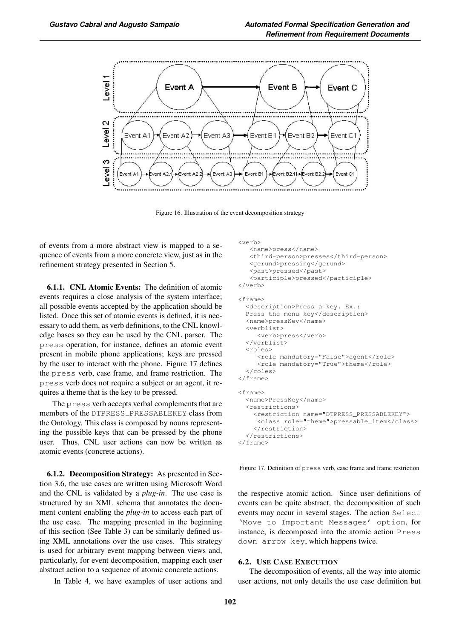

Figure 16. Illustration of the event decomposition strategy

of events from a more abstract view is mapped to a sequence of events from a more concrete view, just as in the refinement strategy presented in Section 5.

6.1.1. CNL Atomic Events: The definition of atomic events requires a close analysis of the system interface; all possible events accepted by the application should be listed. Once this set of atomic events is defined, it is necessary to add them, as verb definitions, to the CNL knowledge bases so they can be used by the CNL parser. The press operation, for instance, defines an atomic event present in mobile phone applications; keys are pressed by the user to interact with the phone. Figure 17 defines the press verb, case frame, and frame restriction. The press verb does not require a subject or an agent, it requires a theme that is the key to be pressed.

The press verb accepts verbal complements that are members of the DTPRESS\_PRESSABLEKEY class from the Ontology. This class is composed by nouns representing the possible keys that can be pressed by the phone user. Thus, CNL user actions can now be written as atomic events (concrete actions).

6.1.2. Decomposition Strategy: As presented in Section 3.6, the use cases are written using Microsoft Word and the CNL is validated by a *plug-in*. The use case is structured by an XML schema that annotates the document content enabling the *plug-in* to access each part of the use case. The mapping presented in the beginning of this section (See Table 3) can be similarly defined using XML annotations over the use cases. This strategy is used for arbitrary event mapping between views and, particularly, for event decomposition, mapping each user abstract action to a sequence of atomic concrete actions.

In Table 4, we have examples of user actions and

```
<verb>
  <name>press</name>
   <third-person>presses</third-person>
   <gerund>pressing</gerund>
   <past>pressed</past>
   <participle>pressed</participle>
</verb>
<frame>
 <description>Press a key. Ex.:
 Press the menu key</description>
 <name>pressKey</name>
  <verblist>
     <verb>press</verb>
 </verblist>
  <roles>
     <role mandatory="False">agent</role>
     <role mandatory="True">theme</role>
 </roles>
</frame>
<frame>
 <name>PressKey</name>
  <restrictions>
    <restriction name="DTPRESS_PRESSABLEKEY">
    <class role="theme">pressable_item</class>
    </restriction>
 </restrictions>
\langle frame>
```
Figure 17. Definition of press verb, case frame and frame restriction

the respective atomic action. Since user definitions of events can be quite abstract, the decomposition of such events may occur in several stages. The action Select 'Move to Important Messages' option, for instance, is decomposed into the atomic action Press down arrow key, which happens twice.

## 6.2. USE CASE EXECUTION

The decomposition of events, all the way into atomic user actions, not only details the use case definition but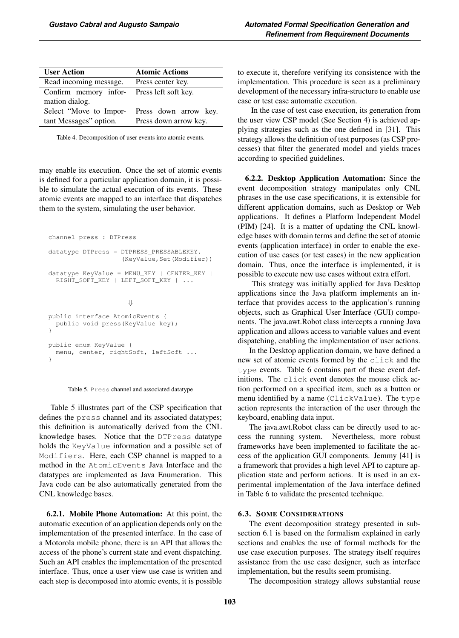| <b>User Action</b>     | <b>Atomic Actions</b> |  |
|------------------------|-----------------------|--|
| Read incoming message. | Press center key.     |  |
| Confirm memory infor-  | Press left soft key.  |  |
| mation dialog.         |                       |  |
| Select "Move to Impor- | Press down arrow key. |  |
| tant Messages" option. | Press down arrow key. |  |

Table 4. Decomposition of user events into atomic events.

may enable its execution. Once the set of atomic events is defined for a particular application domain, it is possible to simulate the actual execution of its events. These atomic events are mapped to an interface that dispatches them to the system, simulating the user behavior.

```
channel press : DTPress
datatype DTPress = DTPRESS_PRESSABLEKEY.
                   (KeyValue, Set(Modifier))
datatype KeyValue = MENU_KEY | CENTER_KEY |
  RIGHT_SOFT_KEY | LEFT_SOFT_KEY | ...
                     ⇓
public interface AtomicEvents {
  public void press(KeyValue key);
}
public enum KeyValue {
  menu, center, rightSoft, leftSoft ...
}
```


Table 5 illustrates part of the CSP specification that defines the press channel and its associated datatypes; this definition is automatically derived from the CNL knowledge bases. Notice that the DTPress datatype holds the KeyValue information and a possible set of Modifiers. Here, each CSP channel is mapped to a method in the AtomicEvents Java Interface and the datatypes are implemented as Java Enumeration. This Java code can be also automatically generated from the CNL knowledge bases.

6.2.1. Mobile Phone Automation: At this point, the automatic execution of an application depends only on the implementation of the presented interface. In the case of a Motorola mobile phone, there is an API that allows the access of the phone's current state and event dispatching. Such an API enables the implementation of the presented interface. Thus, once a user view use case is written and each step is decomposed into atomic events, it is possible to execute it, therefore verifying its consistence with the implementation. This procedure is seen as a preliminary development of the necessary infra-structure to enable use case or test case automatic execution.

In the case of test case execution, its generation from the user view CSP model (See Section 4) is achieved applying strategies such as the one defined in [31]. This strategy allows the definition of test purposes (as CSP processes) that filter the generated model and yields traces according to specified guidelines.

6.2.2. Desktop Application Automation: Since the event decomposition strategy manipulates only CNL phrases in the use case specifications, it is extensible for different application domains, such as Desktop or Web applications. It defines a Platform Independent Model (PIM) [24]. It is a matter of updating the CNL knowledge bases with domain terms and define the set of atomic events (application interface) in order to enable the execution of use cases (or test cases) in the new application domain. Thus, once the interface is implemented, it is possible to execute new use cases without extra effort.

This strategy was initially applied for Java Desktop applications since the Java platform implements an interface that provides access to the application's running objects, such as Graphical User Interface (GUI) components. The java.awt.Robot class intercepts a running Java application and allows access to variable values and event dispatching, enabling the implementation of user actions.

In the Desktop application domain, we have defined a new set of atomic events formed by the click and the type events. Table 6 contains part of these event definitions. The click event denotes the mouse click action performed on a specified item, such as a button or menu identified by a name (ClickValue). The type action represents the interaction of the user through the keyboard, enabling data input.

The java.awt.Robot class can be directly used to access the running system. Nevertheless, more robust frameworks have been implemented to facilitate the access of the application GUI components. Jemmy [41] is a framework that provides a high level API to capture application state and perform actions. It is used in an experimental implementation of the Java interface defined in Table 6 to validate the presented technique.

#### 6.3. SOME CONSIDERATIONS

The event decomposition strategy presented in subsection 6.1 is based on the formalism explained in early sections and enables the use of formal methods for the use case execution purposes. The strategy itself requires assistance from the use case designer, such as interface implementation, but the results seem promising.

The decomposition strategy allows substantial reuse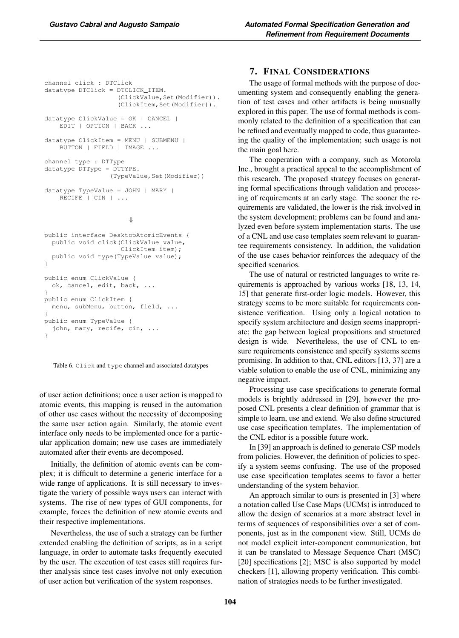```
channel click : DTClick
datatype DTClick = DTCLICK_ITEM.
                   (ClickValue,Set(Modifier)).
                   (ClickItem,Set(Modifier)).
datatype ClickValue = OK | CANCEL |
   EDIT | OPTION | BACK ...
datatype ClickItem = MENU | SUBMENU |
   BUTTON | FIELD | IMAGE ...
channel type : DTType
datatype DTType = DTTYPE.
                 (TypeValue, Set(Modifier))
datatype TypeValue = JOHN | MARY |
   RECIFE | CIN | ...
```
⇓

```
public interface DesktopAtomicEvents {
  public void click(ClickValue value,
                    ClickItem item);
  public void type(TypeValue value);
}
public enum ClickValue {
  ok, cancel, edit, back, ...
}
public enum ClickItem {
 menu, subMenu, button, field, ...
}
public enum TypeValue {
  john, mary, recife, cin, ...
}
```
Table 6. Click and type channel and associated datatypes

of user action definitions; once a user action is mapped to atomic events, this mapping is reused in the automation of other use cases without the necessity of decomposing the same user action again. Similarly, the atomic event interface only needs to be implemented once for a particular application domain; new use cases are immediately automated after their events are decomposed.

Initially, the definition of atomic events can be complex; it is difficult to determine a generic interface for a wide range of applications. It is still necessary to investigate the variety of possible ways users can interact with systems. The rise of new types of GUI components, for example, forces the definition of new atomic events and their respective implementations.

Nevertheless, the use of such a strategy can be further extended enabling the definition of scripts, as in a script language, in order to automate tasks frequently executed by the user. The execution of test cases still requires further analysis since test cases involve not only execution of user action but verification of the system responses.

# 7. FINAL CONSIDERATIONS

The usage of formal methods with the purpose of documenting system and consequently enabling the generation of test cases and other artifacts is being unusually explored in this paper. The use of formal methods is commonly related to the definition of a specification that can be refined and eventually mapped to code, thus guaranteeing the quality of the implementation; such usage is not the main goal here.

The cooperation with a company, such as Motorola Inc., brought a practical appeal to the accomplishment of this research. The proposed strategy focuses on generating formal specifications through validation and processing of requirements at an early stage. The sooner the requirements are validated, the lower is the risk involved in the system development; problems can be found and analyzed even before system implementation starts. The use of a CNL and use case templates seem relevant to guarantee requirements consistency. In addition, the validation of the use cases behavior reinforces the adequacy of the specified scenarios.

The use of natural or restricted languages to write requirements is approached by various works [18, 13, 14, 15] that generate first-order logic models. However, this strategy seems to be more suitable for requirements consistence verification. Using only a logical notation to specify system architecture and design seems inappropriate; the gap between logical propositions and structured design is wide. Nevertheless, the use of CNL to ensure requirements consistence and specify systems seems promising. In addition to that, CNL editors [13, 37] are a viable solution to enable the use of CNL, minimizing any negative impact.

Processing use case specifications to generate formal models is brightly addressed in [29], however the proposed CNL presents a clear definition of grammar that is simple to learn, use and extend. We also define structured use case specification templates. The implementation of the CNL editor is a possible future work.

In [39] an approach is defined to generate CSP models from policies. However, the definition of policies to specify a system seems confusing. The use of the proposed use case specification templates seems to favor a better understanding of the system behavior.

An approach similar to ours is presented in [3] where a notation called Use Case Maps (UCMs) is introduced to allow the design of scenarios at a more abstract level in terms of sequences of responsibilities over a set of components, just as in the component view. Still, UCMs do not model explicit inter-component communication, but it can be translated to Message Sequence Chart (MSC) [20] specifications [2]; MSC is also supported by model checkers [1], allowing property verification. This combination of strategies needs to be further investigated.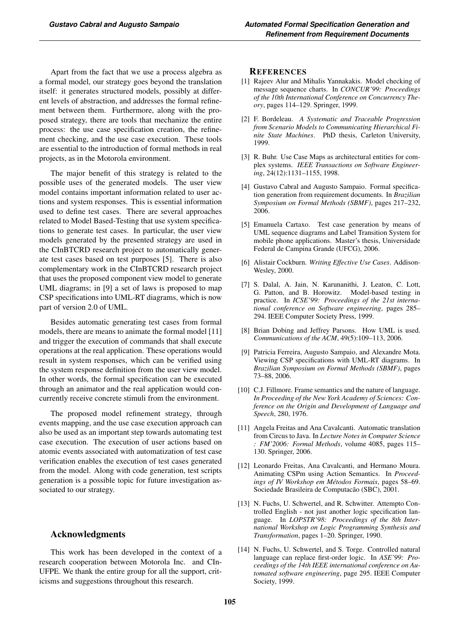Apart from the fact that we use a process algebra as a formal model, our strategy goes beyond the translation itself: it generates structured models, possibly at different levels of abstraction, and addresses the formal refinement between them. Furthermore, along with the proposed strategy, there are tools that mechanize the entire process: the use case specification creation, the refinement checking, and the use case execution. These tools are essential to the introduction of formal methods in real projects, as in the Motorola environment.

The major benefit of this strategy is related to the possible uses of the generated models. The user view model contains important information related to user actions and system responses. This is essential information used to define test cases. There are several approaches related to Model Based-Testing that use system specifications to generate test cases. In particular, the user view models generated by the presented strategy are used in the CInBTCRD research project to automatically generate test cases based on test purposes [5]. There is also complementary work in the CInBTCRD research project that uses the proposed component view model to generate UML diagrams; in [9] a set of laws is proposed to map CSP specifications into UML-RT diagrams, which is now part of version 2.0 of UML.

Besides automatic generating test cases from formal models, there are means to animate the formal model [11] and trigger the execution of commands that shall execute operations at the real application. These operations would result in system responses, which can be verified using the system response definition from the user view model. In other words, the formal specification can be executed through an animator and the real application would concurrently receive concrete stimuli from the environment.

The proposed model refinement strategy, through events mapping, and the use case execution approach can also be used as an important step towards automating test case execution. The execution of user actions based on atomic events associated with automatization of test case verification enables the execution of test cases generated from the model. Along with code generation, test scripts generation is a possible topic for future investigation associated to our strategy.

# Acknowledgments

This work has been developed in the context of a research cooperation between Motorola Inc. and CIn-UFPE. We thank the entire group for all the support, criticisms and suggestions throughout this research.

#### REFERENCES

- [1] Rajeev Alur and Mihalis Yannakakis. Model checking of message sequence charts. In *CONCUR'99: Proceedings of the 10th International Conference on Concurrency Theory*, pages 114–129. Springer, 1999.
- [2] F. Bordeleau. *A Systematic and Traceable Progression from Scenario Models to Communicating Hierarchical Finite State Machines*. PhD thesis, Carleton University, 1999.
- [3] R. Buhr. Use Case Maps as architectural entities for complex systems. *IEEE Transactions on Software Engineering*, 24(12):1131–1155, 1998.
- [4] Gustavo Cabral and Augusto Sampaio. Formal specification generation from requirement documents. In *Brazilian Symposium on Formal Methods (SBMF)*, pages 217–232, 2006.
- [5] Emanuela Cartaxo. Test case generation by means of UML sequence diagrams and Label Transition System for mobile phone applications. Master's thesis, Universidade Federal de Campina Grande (UFCG), 2006.
- [6] Alistair Cockburn. *Writing Effective Use Cases*. Addison-Wesley, 2000.
- [7] S. Dalal, A. Jain, N. Karunanithi, J. Leaton, C. Lott, G. Patton, and B. Horowitz. Model-based testing in practice. In *ICSE'99: Proceedings of the 21st international conference on Software engineering*, pages 285– 294. IEEE Computer Society Press, 1999.
- [8] Brian Dobing and Jeffrey Parsons. How UML is used. *Communications of the ACM*, 49(5):109–113, 2006.
- [9] Patricia Ferreira, Augusto Sampaio, and Alexandre Mota. Viewing CSP specifications with UML-RT diagrams. In *Brazilian Symposium on Formal Methods (SBMF)*, pages 73–88, 2006.
- [10] C.J. Fillmore. Frame semantics and the nature of language. *In Proceeding of the New York Academy of Sciences: Conference on the Origin and Development of Language and Speech*, 280, 1976.
- [11] Angela Freitas and Ana Cavalcanti. Automatic translation from Circus to Java. In *Lecture Notes in Computer Science : FM'2006: Formal Methods*, volume 4085, pages 115– 130. Springer, 2006.
- [12] Leonardo Freitas, Ana Cavalcanti, and Hermano Moura. Animating CSPm using Action Semantics. In *Proceed*ings of IV Workshop em Métodos Formais, pages 58–69. Sociedade Brasileira de Computação (SBC), 2001.
- [13] N. Fuchs, U. Schwertel, and R. Schwitter. Attempto Controlled English - not just another logic specification language. In *LOPSTR'98: Proceedings of the 8th International Workshop on Logic Programming Synthesis and Transformation*, pages 1–20. Springer, 1990.
- [14] N. Fuchs, U. Schwertel, and S. Torge. Controlled natural language can replace first-order logic. In *ASE'99: Proceedings of the 14th IEEE international conference on Automated software engineering*, page 295. IEEE Computer Society, 1999.